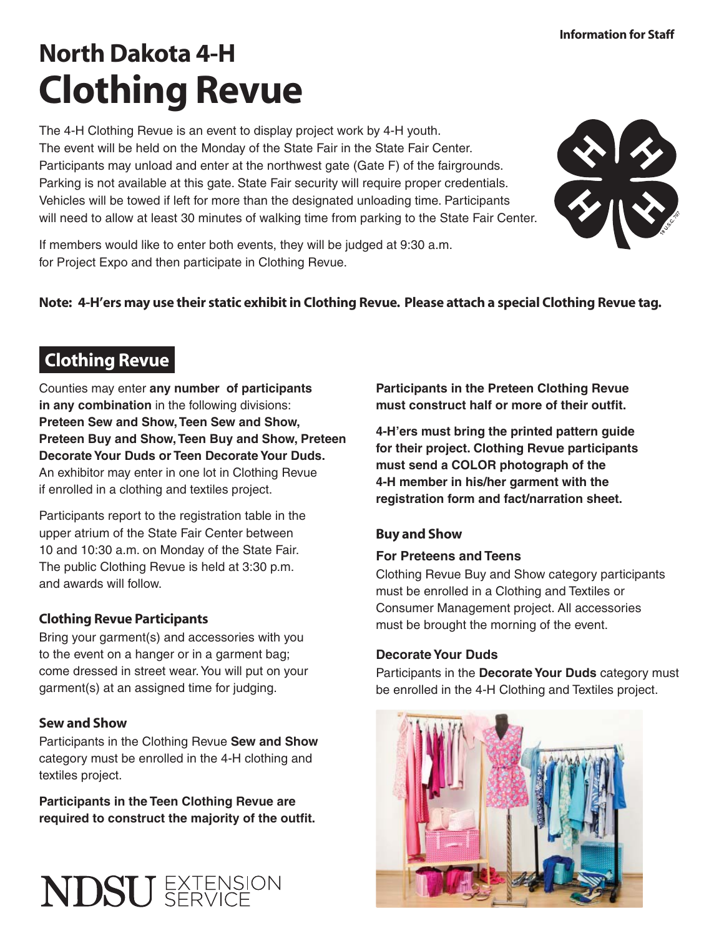# North Dakota 4-H Clothing Revue

The 4-H Clothing Revue is an event to display project work by 4-H youth. The event will be held on the Monday of the State Fair in the State Fair Center. Participants may unload and enter at the northwest gate (Gate F) of the fairgrounds. Parking is not available at this gate. State Fair security will require proper credentials. Vehicles will be towed if left for more than the designated unloading time. Participants will need to allow at least 30 minutes of walking time from parking to the State Fair Center.



If members would like to enter both events, they will be judged at 9:30 a.m. for Project Expo and then participate in Clothing Revue.

## Note: 4-H'ers may use their static exhibit in Clothing Revue. Please attach a special Clothing Revue tag.

# Clothing Revue

Counties may enter **any number of participants in any combination** in the following divisions: **Preteen Sew and Show, Teen Sew and Show, Preteen Buy and Show, Teen Buy and Show, Preteen Decorate Your Duds or Teen Decorate Your Duds.**  An exhibitor may enter in one lot in Clothing Revue if enrolled in a clothing and textiles project.

Participants report to the registration table in the upper atrium of the State Fair Center between 10 and 10:30 a.m. on Monday of the State Fair. The public Clothing Revue is held at 3:30 p.m. and awards will follow.

# Clothing Revue Participants

Bring your garment(s) and accessories with you to the event on a hanger or in a garment bag; come dressed in street wear. You will put on your garment(s) at an assigned time for judging.

### Sew and Show

Participants in the Clothing Revue **Sew and Show**  category must be enrolled in the 4-H clothing and textiles project.

**Participants in the Teen Clothing Revue are**  required to construct the majority of the outfit.



**Participants in the Preteen Clothing Revue**  must construct half or more of their outfit.

**4-H'ers must bring the printed pattern guide for their project. Clothing Revue participants must send a COLOR photograph of the 4-H member in his/her garment with the registration form and fact/narration sheet.** 

### Buy and Show

#### **For Preteens and Teens**

Clothing Revue Buy and Show category participants must be enrolled in a Clothing and Textiles or Consumer Management project. All accessories must be brought the morning of the event.

#### **Decorate Your Duds**

Participants in the **Decorate Your Duds** category must be enrolled in the 4-H Clothing and Textiles project.